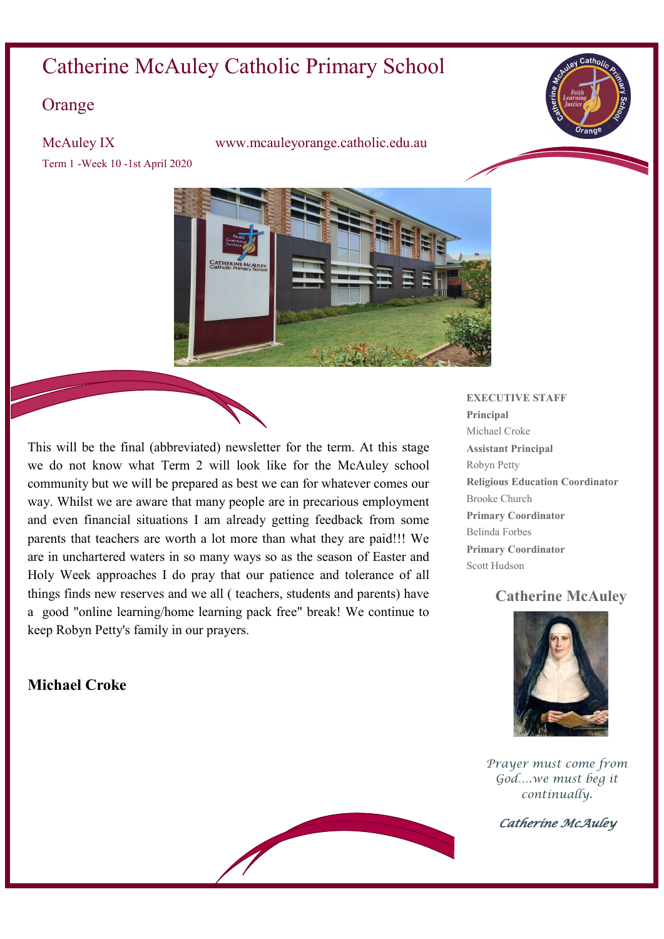# Catherine McAuley Catholic Primary School

## **Orange**

Term 1 -Week 10 -1st April 2020

McAuley IX www.mcauleyorange.catholic.edu.au



This will be the final (abbreviated) newsletter for the term. At this stage we do not know what Term 2 will look like for the McAuley school community but we will be prepared as best we can for whatever comes our way. Whilst we are aware that many people are in precarious employment and even financial situations I am already getting feedback from some parents that teachers are worth a lot more than what they are paid!!! We are in unchartered waters in so many ways so as the season of Easter and Holy Week approaches I do pray that our patience and tolerance of all things finds new reserves and we all ( teachers, students and parents) have a good "online learning/home learning pack free" break! We continue to keep Robyn Petty's family in our prayers.

## **Michael Croke**

#### **EXECUTIVE STAFF**

**Principal** Michael Croke **Assistant Principal** Robyn Petty **Religious Education Coordinator** Brooke Church **Primary Coordinator** Belinda Forbes **Primary Coordinator** Scott Hudson

### **Catherine McAuley**



*Prayer must come from God….we must beg it continually.* 

*Catherine McAuley*